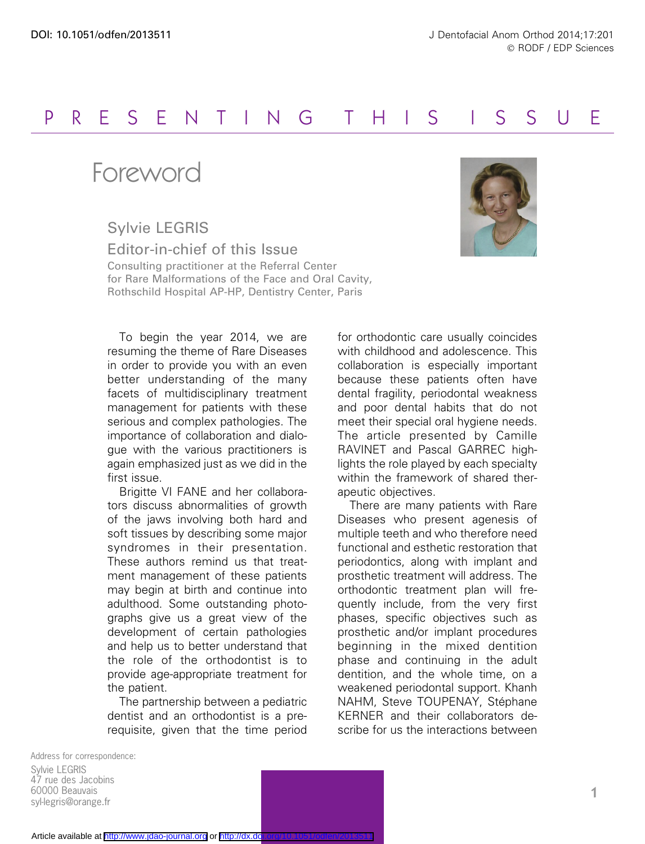## PRESENTING THIS I S SU E

## Foreword

Sylvie LEGRIS

Editor-in-chief of this Issue Consulting practitioner at the Referral Center for Rare Malformations of the Face and Oral Cavity, Rothschild Hospital AP-HP, Dentistry Center, Paris

To begin the year 2014, we are resuming the theme of Rare Diseases in order to provide you with an even better understanding of the many facets of multidisciplinary treatment management for patients with these serious and complex pathologies. The importance of collaboration and dialogue with the various practitioners is again emphasized just as we did in the first issue.

Brigitte VI FANE and her collaborators discuss abnormalities of growth of the jaws involving both hard and soft tissues by describing some major syndromes in their presentation. These authors remind us that treatment management of these patients may begin at birth and continue into adulthood. Some outstanding photographs give us a great view of the development of certain pathologies and help us to better understand that the role of the orthodontist is to provide age-appropriate treatment for the patient.

The partnership between a pediatric dentist and an orthodontist is a prerequisite, given that the time period

for orthodontic care usually coincides with childhood and adolescence. This collaboration is especially important because these patients often have dental fragility, periodontal weakness and poor dental habits that do not meet their special oral hygiene needs. The article presented by Camille RAVINET and Pascal GARREC highlights the role played by each specialty within the framework of shared therapeutic objectives.

There are many patients with Rare Diseases who present agenesis of multiple teeth and who therefore need functional and esthetic restoration that periodontics, along with implant and prosthetic treatment will address. The orthodontic treatment plan will frequently include, from the very first phases, specific objectives such as prosthetic and/or implant procedures beginning in the mixed dentition phase and continuing in the adult dentition, and the whole time, on a weakened periodontal support. Khanh NAHM, Steve TOUPENAY, Stéphane KERNER and their collaborators describe for us the interactions between

Address for correspondence: Sylvie LEGRIS 47 rue des Jacobins 60000 Beauvais syl-legris@orange.fr